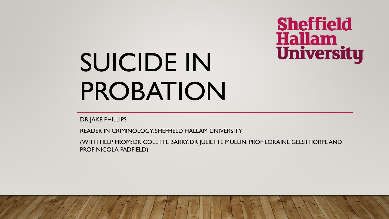# **Sheffield Hallam**<br>University

# SUICIDE IN PROBATION

DR JAKE PHILLIPS

READER IN CRIMINOLOGY, SHEFFIELD HALLAM UNIVERSITY

(WITH HELP FROM: DR COLETTE BARRY, DR JULIETTE MULLIN, PROF LORAINE GELSTHORPEAND PROF NICOLA PADFIELD)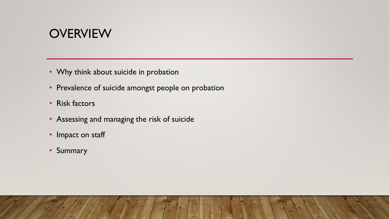#### **OVERVIEW**

- Why think about suicide in probation
- Prevalence of suicide amongst people on probation
- Risk factors
- Assessing and managing the risk of suicide
- Impact on staff
- Summary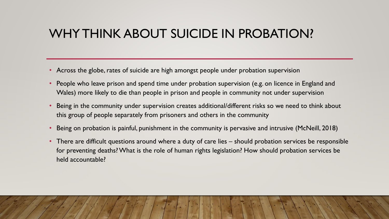#### WHY THINK ABOUT SUICIDE IN PROBATION?

- Across the globe, rates of suicide are high amongst people under probation supervision
- People who leave prison and spend time under probation supervision (e.g. on licence in England and Wales) more likely to die than people in prison and people in community not under supervision
- Being in the community under supervision creates additional/different risks so we need to think about this group of people separately from prisoners and others in the community
- Being on probation is painful, punishment in the community is pervasive and intrusive (McNeill, 2018)
- There are difficult questions around where a duty of care lies should probation services be responsible for preventing deaths? What is the role of human rights legislation? How should probation services be held accountable?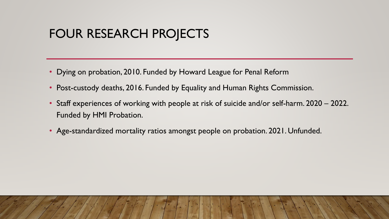## FOUR RESEARCH PROJECTS

- Dying on probation, 2010. Funded by Howard League for Penal Reform
- Post-custody deaths, 2016. Funded by Equality and Human Rights Commission.
- Staff experiences of working with people at risk of suicide and/or self-harm. 2020 2022. Funded by HMI Probation.
- Age-standardized mortality ratios amongst people on probation. 2021. Unfunded.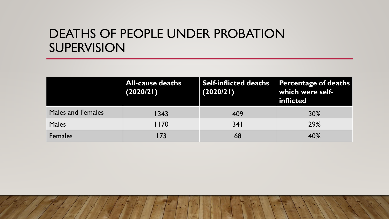#### DEATHS OF PEOPLE UNDER PROBATION SUPERVISION

|                          | <b>All-cause deaths</b><br>(2020/21) | <b>Self-inflicted deaths</b><br>(2020/21) | <b>Percentage of deaths</b><br>which were self-<br>inflicted |
|--------------------------|--------------------------------------|-------------------------------------------|--------------------------------------------------------------|
| <b>Males and Females</b> | 1343                                 | 409                                       | 30%                                                          |
| <b>Males</b>             | 1170                                 | 341                                       | 29%                                                          |
| <b>Females</b>           | 173                                  | 68                                        | 40%                                                          |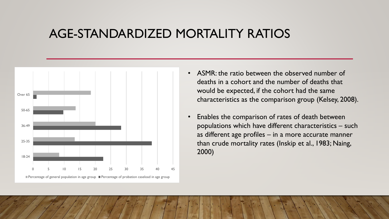#### AGE-STANDARDIZED MORTALITY RATIOS



- ASMR: the ratio between the observed number of deaths in a cohort and the number of deaths that would be expected, if the cohort had the same characteristics as the comparison group (Kelsey, 2008).
- Enables the comparison of rates of death between populations which have different characteristics – such as different age profiles – in a more accurate manner than crude mortality rates (Inskip et al., 1983; Naing, 2000)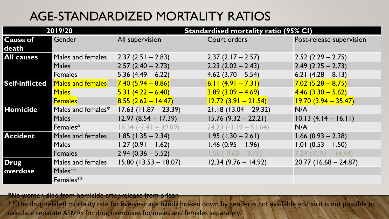# AGE-STANDARDIZED MORTALITY RATIOS

| 2019/20                  |                                   | <b>Standardised mortality ratio (95% CI)</b> |                                               |                                             |
|--------------------------|-----------------------------------|----------------------------------------------|-----------------------------------------------|---------------------------------------------|
| <b>Cause of</b><br>death | Gender                            | All supervision                              | Court orders                                  | Post-release supervision                    |
| <b>All causes</b>        | Males and females<br><b>Males</b> | $2.37(2.51 - 2.83)$<br>$2.57(2.40 - 2.73)$   | $2.37(2.17 - 2.57)$<br>$2.23$ $(2.02 - 2.43)$ | $2.52(2.29 - 2.75)$<br>$2.49$ (2.25 – 2.73) |
|                          | <b>Females</b>                    | $5.36(4.49 - 6.22)$                          | $4.62$ (3.70 – 5.54)                          | 6.21 $(4.28 - 8.13)$                        |
| <b>Self-inflicted</b>    | <b>Males and females</b>          | $7.40(5.94 - 8.86)$                          | 6.11 $(4.91 - 7.31)$                          | $7.02(5.28 - 8.75)$                         |
|                          | <b>Males</b>                      | $5.31 (4.22 - 6.40)$                         | $3.89(3.09 - 4.69)$                           | $4.46$ $(3.30 - 5.62)$                      |
|                          | <b>Females</b>                    | $8.55(2.62 - 14.47)$                         | $12.72(3.91 - 21.54)$                         | $19.70(3.94 - 35.47)$                       |
| <b>Homicide</b>          | Males and females*                | $17.63$ (11.87 – 23.39)                      | $21.18(13.04 - 29.32)$                        | N/A                                         |
|                          | <b>Males</b>                      | $12.97(8.54 - 17.39)$                        | $15.76(9.32 - 22.21)$                         | $10.13(4.14 - 16.11)$                       |
|                          | Females*                          | $18.34 (-2.41 - 39.09)$                      | $24.23$ (-3.19 – 51.64)                       | N/A                                         |
| <b>Accident</b>          | Males and females                 | $1.85$ (1.35 - 2.34)                         | $1.95(1.30 - 2.61)$                           | $1.66$ (0.93 – 2.38)                        |
|                          | <b>Males</b>                      | $1.27(0.91 - 1.62)$                          | $1.46$ (0.95 - 1.96)                          | $1.01 (0.53 - 1.50)$                        |
|                          | <b>Females</b>                    | $2.94(0.36 - 5.52)$                          | $1.56(-0.60 - 3.71)$                          | $7.24 (-0.95 - 14.44)$                      |
| <b>Drug</b><br>overdose  | Males and females                 | $15.80(13.53 - 18.07)$                       | $12.34(9.76 - 14.92)$                         | $20.77$ (16.68 – 24.87)                     |
|                          | Males $**$                        |                                              |                                               |                                             |
|                          | Females**                         |                                              |                                               |                                             |

\*No women died from homicide after release from prison

\*\* The drug-related mortality rate for five-year age bands broken down by gender is not available and so it is not possible to calculate separate ASMRs for drug/overdoses/for/males and females separately.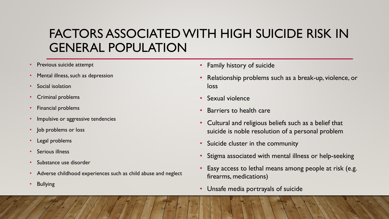## FACTORS ASSOCIATED WITH HIGH SUICIDE RISK IN GENERAL POPULATION

- Previous suicide attempt
- Mental illness, such as depression
- Social isolation
- Criminal problems
- Financial problems
- Impulsive or aggressive tendencies
- Job problems or loss
- Legal problems
- Serious illness
- Substance use disorder
- Adverse childhood experiences such as child abuse and neglect
- **Bullying**
- Family history of suicide
- Relationship problems such as a break-up, violence, or loss
- Sexual violence
- Barriers to health care
- Cultural and religious beliefs such as a belief that suicide is noble resolution of a personal problem
- Suicide cluster in the community
- Stigma associated with mental illness or help-seeking
- Easy access to lethal means among people at risk (e.g. firearms, medications)
- Unsafe media portrayals of suicide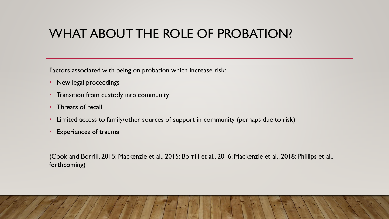#### WHAT ABOUT THE ROLE OF PROBATION?

Factors associated with being on probation which increase risk:

- New legal proceedings
- Transition from custody into community
- Threats of recall
- Limited access to family/other sources of support in community (perhaps due to risk)
- Experiences of trauma

(Cook and Borrill, 2015; Mackenzie et al., 2015; Borrill et al., 2016; Mackenzie et al., 2018; Phillips et al., forthcoming)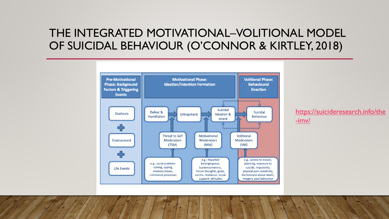#### THE INTEGRATED MOTIVATIONAL–VOLITIONAL MODEL OF SUICIDAL BEHAVIOUR (O'CONNOR & KIRTLEY, 2018)



[https://suicideresearch.info/the](https://suicideresearch.info/the-imv/) -imv/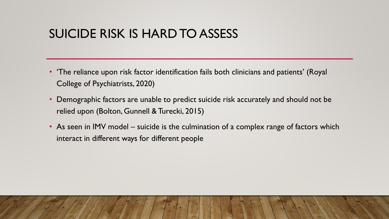#### SUICIDE RISK IS HARD TO ASSESS

- 'The reliance upon risk factor identification fails both clinicians and patients' (Royal College of Psychiatrists, 2020)
- Demographic factors are unable to predict suicide risk accurately and should not be relied upon (Bolton, Gunnell & Turecki, 2015)
- As seen in IMV model suicide is the culmination of a complex range of factors which interact in different ways for different people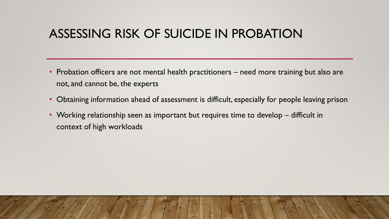#### ASSESSING RISK OF SUICIDE IN PROBATION

- Probation officers are not mental health practitioners need more training but also are not, and cannot be, the experts
- Obtaining information ahead of assessment is difficult, especially for people leaving prison
- Working relationship seen as important but requires time to develop difficult in context of high workloads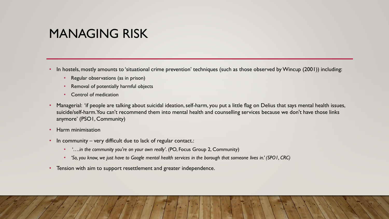#### MANAGING RISK

- In hostels, mostly amounts to 'situational crime prevention' techniques (such as those observed by Wincup (2001)) including:
	- Regular observations (as in prison)
	- Removal of potentially harmful objects
	- Control of medication
- Managerial: 'if people are talking about suicidal ideation, self-harm, you put a little flag on Delius that says mental health issues, suicide/self-harm. You can't recommend them into mental health and counselling services because we don't have those links anymore' (PSO1, Community)
- Harm minimisation
- In community very difficult due to lack of regular contact.:
	- '*….in the community you're on your own really'*. (PO, Focus Group 2, Community)
	- *'So, you know, we just have to Google mental health services in the borough that someone lives in.' (SPO1, CRC)*
- Tension with aim to support resettlement and greater independence.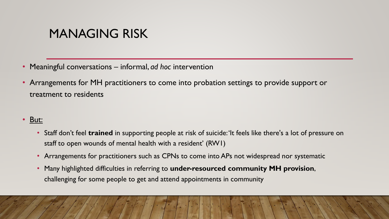#### MANAGING RISK

- Meaningful conversations informal, *ad hoc* intervention
- Arrangements for MH practitioners to come into probation settings to provide support or treatment to residents
- But:
	- Staff don't feel **trained** in supporting people at risk of suicide: 'It feels like there's a lot of pressure on staff to open wounds of mental health with a resident' (RW1)
	- Arrangements for practitioners such as CPNs to come into APs not widespread nor systematic
	- Many highlighted difficulties in referring to **under-resourced community MH provision**, challenging for some people to get and attend appointments in community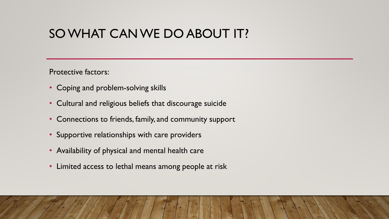#### SO WHAT CAN WE DO ABOUT IT?

Protective factors:

- Coping and problem-solving skills
- Cultural and religious beliefs that discourage suicide
- Connections to friends, family, and community support
- Supportive relationships with care providers
- Availability of physical and mental health care
- Limited access to lethal means among people at risk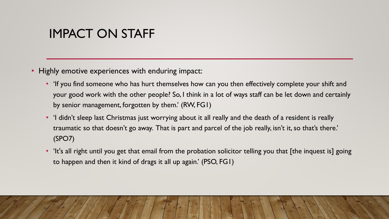#### IMPACT ON STAFF

- Highly emotive experiences with enduring impact:
	- If you find someone who has hurt themselves how can you then effectively complete your shift and your good work with the other people? So, I think in a lot of ways staff can be let down and certainly by senior management, forgotten by them.' (RW, FG1)
	- 'I didn't sleep last Christmas just worrying about it all really and the death of a resident is really traumatic so that doesn't go away. That is part and parcel of the job really, isn't it, so that's there.' (SPO7)
	- 'It's all right until you get that email from the probation solicitor telling you that [the inquest is] going to happen and then it kind of drags it all up again.' (PSO, FG1)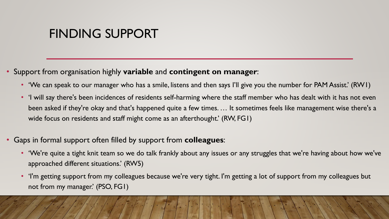#### FINDING SUPPORT

- Support from organisation highly **variable** and **contingent on manager**:
	- 'We can speak to our manager who has a smile, listens and then says I'll give you the number for PAM Assist.' (RW1)
	- 'I will say there's been incidences of residents self-harming where the staff member who has dealt with it has not even been asked if they're okay and that's happened quite a few times. … It sometimes feels like management wise there's a wide focus on residents and staff might come as an afterthought.' (RW, FG1)
- Gaps in formal support often filled by support from **colleagues**:
	- 'We're quite a tight knit team so we do talk frankly about any issues or any struggles that we're having about how we've approached different situations.' (RW5)
	- 'I'm getting support from my colleagues because we're very tight. I'm getting a lot of support from my colleagues but not from my manager.' (PSO, FG1)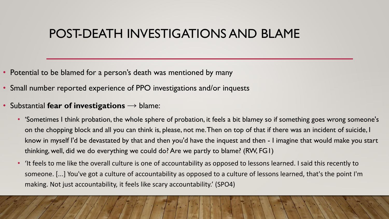#### POST-DEATH INVESTIGATIONS AND BLAME

- Potential to be blamed for a person's death was mentioned by many
- Small number reported experience of PPO investigations and/or inquests
- Substantial **fear of investigations** → blame:
	- 'Sometimes I think probation, the whole sphere of probation, it feels a bit blamey so if something goes wrong someone's on the chopping block and all you can think is, please, not me. Then on top of that if there was an incident of suicide, I know in myself I'd be devastated by that and then you'd have the inquest and then - I imagine that would make you start thinking, well, did we do everything we could do? Are we partly to blame? (RW, FG1)
	- 'It feels to me like the overall culture is one of accountability as opposed to lessons learned. I said this recently to someone. [...] You've got a culture of accountability as opposed to a culture of lessons learned, that's the point I'm making. Not just accountability, it feels like scary accountability.' (SPO4)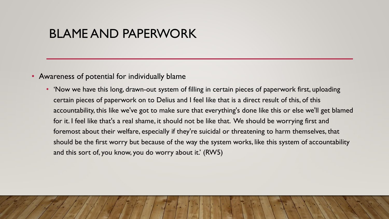#### BLAME AND PAPERWORK

- Awareness of potential for individually blame
	- 'Now we have this long, drawn-out system of filling in certain pieces of paperwork first, uploading certain pieces of paperwork on to Delius and I feel like that is a direct result of this, of this accountability, this like we've got to make sure that everything's done like this or else we'll get blamed for it. I feel like that's a real shame, it should not be like that. We should be worrying first and foremost about their welfare, especially if they're suicidal or threatening to harm themselves, that should be the first worry but because of the way the system works, like this system of accountability and this sort of, you know, you do worry about it.' (RW5)